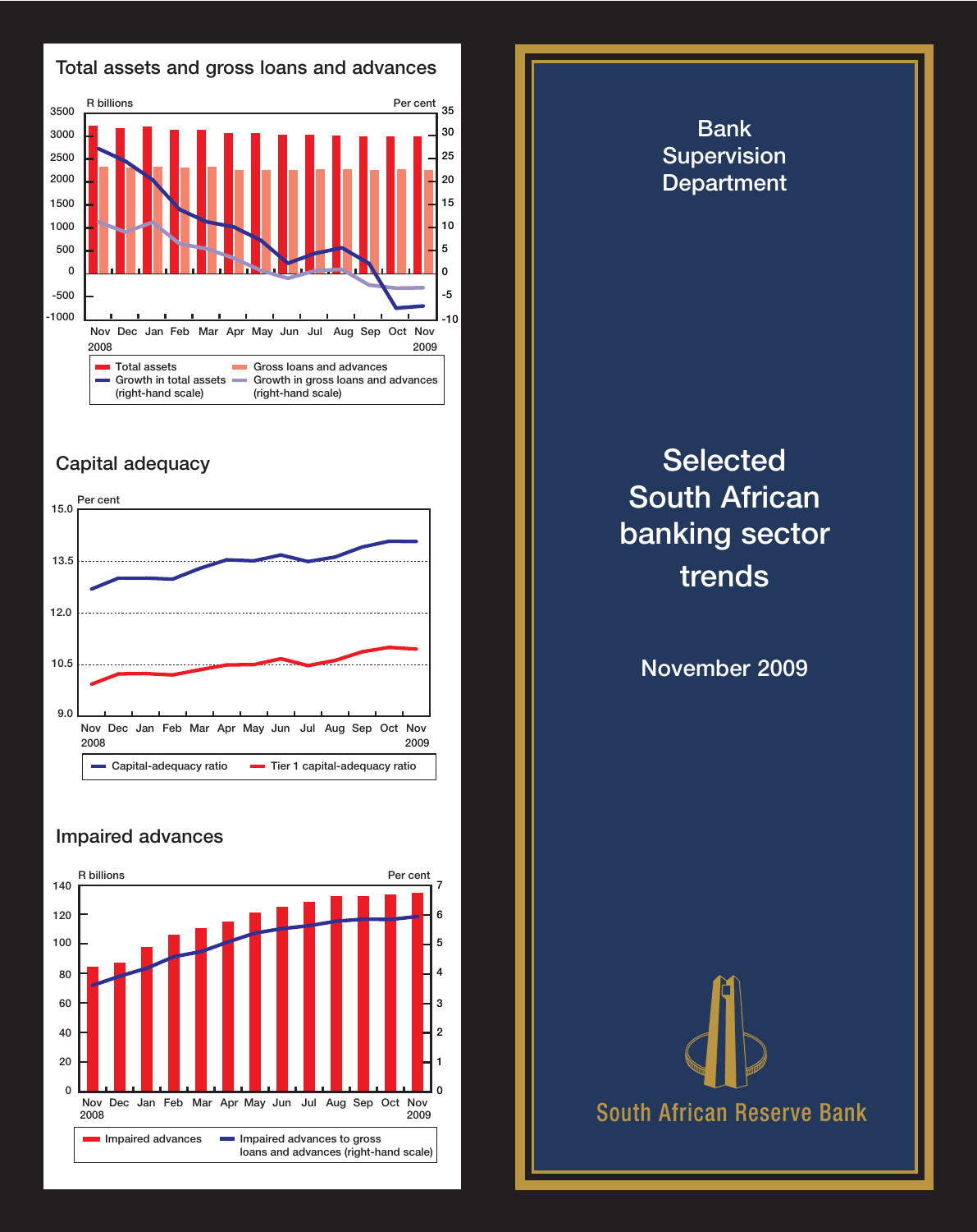



## **Capital adequacy**



## **Impaired advances**



## **Bank Supervision Department Selected South African banking sector trends November 2009 South African Reserve Bank**